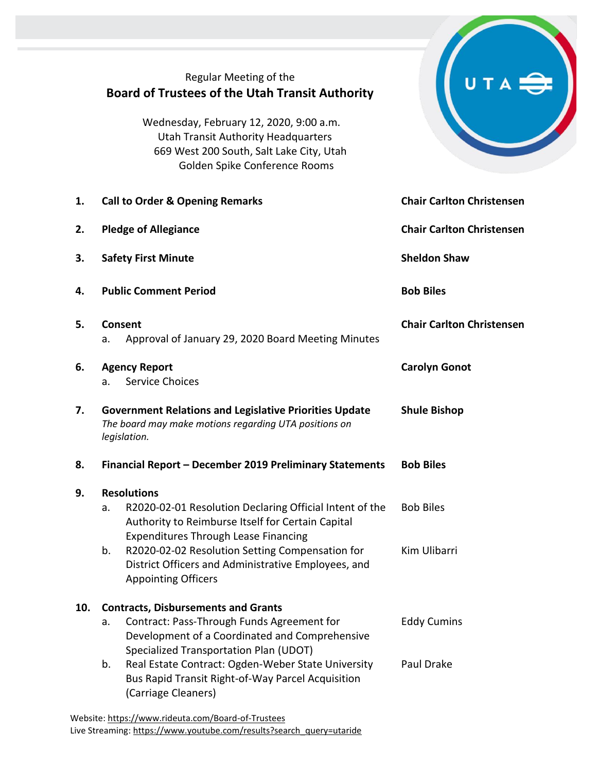|     | Regular Meeting of the<br><b>Board of Trustees of the Utah Transit Authority</b><br>Wednesday, February 12, 2020, 9:00 a.m.<br><b>Utah Transit Authority Headquarters</b><br>669 West 200 South, Salt Lake City, Utah<br>Golden Spike Conference Rooms |                                  |  |  |  |
|-----|--------------------------------------------------------------------------------------------------------------------------------------------------------------------------------------------------------------------------------------------------------|----------------------------------|--|--|--|
| 1.  | <b>Call to Order &amp; Opening Remarks</b>                                                                                                                                                                                                             | <b>Chair Carlton Christensen</b> |  |  |  |
| 2.  | <b>Pledge of Allegiance</b>                                                                                                                                                                                                                            | <b>Chair Carlton Christensen</b> |  |  |  |
| 3.  | <b>Safety First Minute</b>                                                                                                                                                                                                                             | <b>Sheldon Shaw</b>              |  |  |  |
| 4.  | <b>Public Comment Period</b>                                                                                                                                                                                                                           | <b>Bob Biles</b>                 |  |  |  |
| 5.  | Consent<br>Approval of January 29, 2020 Board Meeting Minutes<br>а.                                                                                                                                                                                    | <b>Chair Carlton Christensen</b> |  |  |  |
| 6.  | <b>Agency Report</b><br><b>Service Choices</b><br>a.                                                                                                                                                                                                   | <b>Carolyn Gonot</b>             |  |  |  |
| 7.  | <b>Government Relations and Legislative Priorities Update</b><br>The board may make motions regarding UTA positions on<br>legislation.                                                                                                                 | <b>Shule Bishop</b>              |  |  |  |
| 8.  | Financial Report - December 2019 Preliminary Statements                                                                                                                                                                                                | <b>Bob Biles</b>                 |  |  |  |
| 9.  | <b>Resolutions</b><br>R2020-02-01 Resolution Declaring Official Intent of the<br>a.<br>Authority to Reimburse Itself for Certain Capital                                                                                                               | <b>Bob Biles</b>                 |  |  |  |
|     | <b>Expenditures Through Lease Financing</b><br>R2020-02-02 Resolution Setting Compensation for<br>b.<br>District Officers and Administrative Employees, and<br><b>Appointing Officers</b>                                                              | Kim Ulibarri                     |  |  |  |
| 10. | <b>Contracts, Disbursements and Grants</b>                                                                                                                                                                                                             |                                  |  |  |  |
|     | Contract: Pass-Through Funds Agreement for<br>a.<br>Development of a Coordinated and Comprehensive                                                                                                                                                     | <b>Eddy Cumins</b>               |  |  |  |
|     | Specialized Transportation Plan (UDOT)<br>Real Estate Contract: Ogden-Weber State University<br>b.<br>Bus Rapid Transit Right-of-Way Parcel Acquisition<br>(Carriage Cleaners)                                                                         | Paul Drake                       |  |  |  |
|     |                                                                                                                                                                                                                                                        |                                  |  |  |  |

 $\overline{\phantom{0}}$